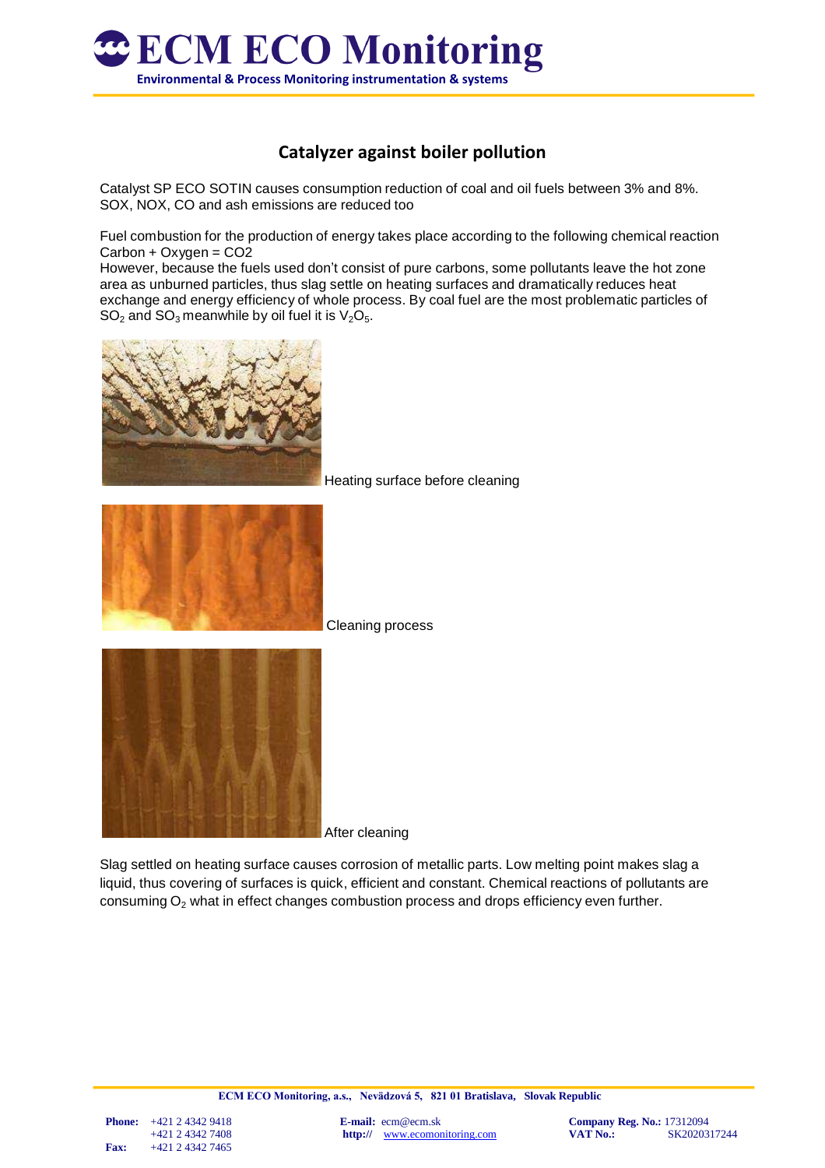

# **Catalyzer against boiler pollution**

Catalyst SP ECO SOTIN causes consumption reduction of coal and oil fuels between 3% and 8%. SOX, NOX, CO and ash emissions are reduced too

Fuel combustion for the production of energy takes place according to the following chemical reaction Carbon + Oxygen = CO2

However, because the fuels used don't consist of pure carbons, some pollutants leave the hot zone area as unburned particles, thus slag settle on heating surfaces and dramatically reduces heat exchange and energy efficiency of whole process. By coal fuel are the most problematic particles of  $SO<sub>2</sub>$  and  $SO<sub>3</sub>$  meanwhile by oil fuel it is  $V<sub>2</sub>O<sub>5</sub>$ .





Heating surface before cleaning



Cleaning process

After cleaning

Slag settled on heating surface causes corrosion of metallic parts. Low melting point makes slag a liquid, thus covering of surfaces is quick, efficient and constant. Chemical reactions of pollutants are consuming  $O<sub>2</sub>$  what in effect changes combustion process and drops efficiency even further.

**ECM ECO Monitoring, a.s., Nevädzová 5, 821 01 Bratislava, Slovak Republic**

 **Fax:** +421 2 4342 7465

 **Phone:**  $+421243429418$  **E-mail:**  $e$ cm@ecm.sk **Company Reg. No.:** 17312094 +421 2 4342 7408 **http://** [www.ecomonitoring.com](http://www.ecomonitoring.com/) **VAT No.:** SK2020317244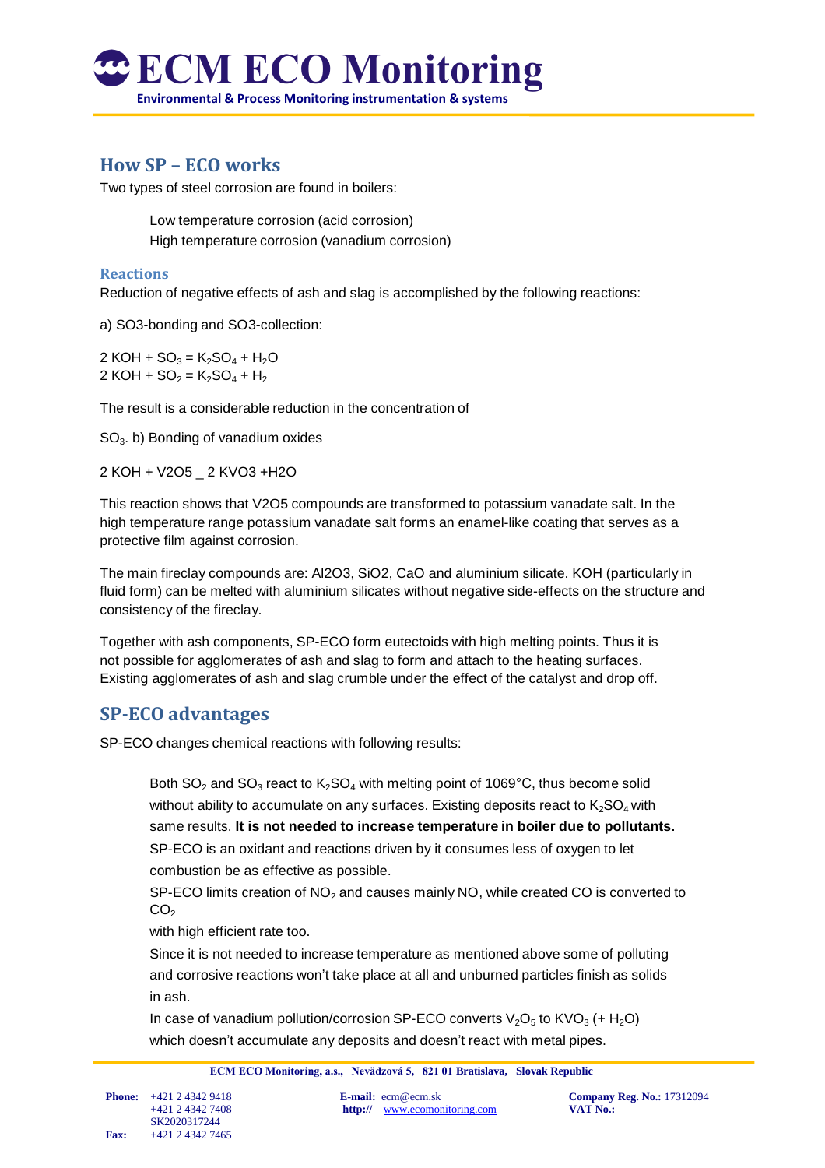

## **How SP – ECO works**

Two types of steel corrosion are found in boilers:

Low temperature corrosion (acid corrosion) High temperature corrosion (vanadium corrosion)

#### **Reactions**

Reduction of negative effects of ash and slag is accomplished by the following reactions:

a) SO3-bonding and SO3-collection:

 $2$  KOH + SO<sub>3</sub> = K<sub>2</sub>SO<sub>4</sub> + H<sub>2</sub>O  $2$  KOH + SO<sub>2</sub> = K<sub>2</sub>SO<sub>4</sub> + H<sub>2</sub>

The result is a considerable reduction in the concentration of

SO3. b) Bonding of vanadium oxides

2 KOH + V2O5 \_ 2 KVO3 +H2O

This reaction shows that V2O5 compounds are transformed to potassium vanadate salt. In the high temperature range potassium vanadate salt forms an enamel-like coating that serves as a protective film against corrosion.

The main fireclay compounds are: Al2O3, SiO2, CaO and aluminium silicate. KOH (particularly in fluid form) can be melted with aluminium silicates without negative side-effects on the structure and consistency of the fireclay.

Together with ash components, SP-ECO form eutectoids with high melting points. Thus it is not possible for agglomerates of ash and slag to form and attach to the heating surfaces. Existing agglomerates of ash and slag crumble under the effect of the catalyst and drop off.

## **SP-ECO advantages**

SP-ECO changes chemical reactions with following results:

Both  $SO_2$  and  $SO_3$  react to  $K_2SO_4$  with melting point of 1069°C, thus become solid without ability to accumulate on any surfaces. Existing deposits react to  $K_2SO_4$  with same results. **It is not needed to increase temperature in boiler due to pollutants.** SP-ECO is an oxidant and reactions driven by it consumes less of oxygen to let combustion be as effective as possible.

SP-ECO limits creation of  $NO<sub>2</sub>$  and causes mainly NO, while created CO is converted to  $CO<sub>2</sub>$ 

with high efficient rate too.

Since it is not needed to increase temperature as mentioned above some of polluting and corrosive reactions won't take place at all and unburned particles finish as solids in ash.

In case of vanadium pollution/corrosion SP-ECO converts  $V_2O_5$  to KVO<sub>3</sub> (+ H<sub>2</sub>O) which doesn't accumulate any deposits and doesn't react with metal pipes.

 **Phone:**  $+421 2 4342 9418$ <br> $+421 2 4342 7408$ <br>**E-mail:**  $e$ cm@ecm.sk **Company Reg. No.:** 17312094<br>**http://** www.ecomonitoring.com **VAT No.:** http:// [www.ecomonitoring.com](http://www.ecomonitoring.com/) **VAT No.:**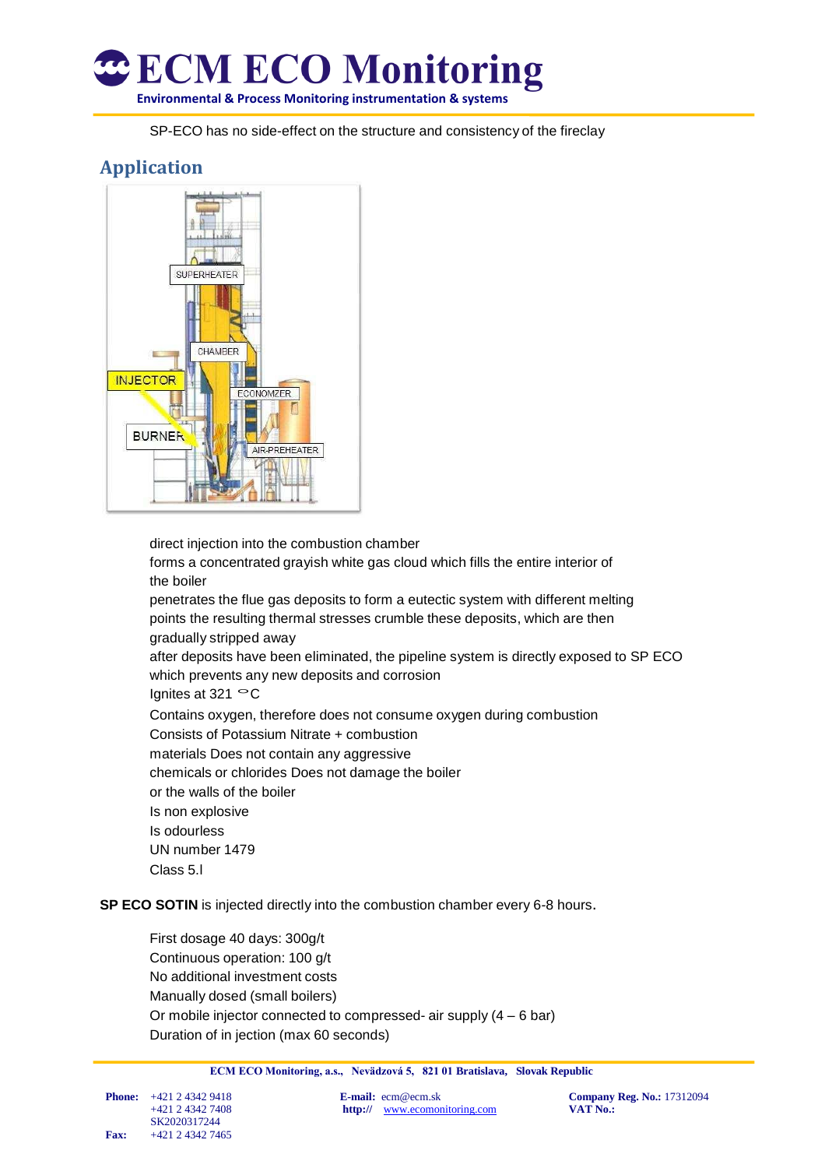

SP-ECO has no side-effect on the structure and consistency of the fireclay

# **Application**



direct injection into the combustion chamber

forms a concentrated grayish white gas cloud which fills the entire interior of the boiler

penetrates the flue gas deposits to form a eutectic system with different melting points the resulting thermal stresses crumble these deposits, which are then gradually stripped away

after deposits have been eliminated, the pipeline system is directly exposed to SP ECO which prevents any new deposits and corrosion

Ignites at 321 °<sup>C</sup>

Contains oxygen, therefore does not consume oxygen during combustion

Consists of Potassium Nitrate + combustion

materials Does not contain any aggressive

chemicals or chlorides Does not damage the boiler

or the walls of the boiler

Is non explosive

Is odourless

UN number 1479

Class 5.l

**SP ECO SOTIN** is injected directly into the combustion chamber every 6-8 hours.

First dosage 40 days: 300g/t Continuous operation: 100 g/t No additional investment costs Manually dosed (small boilers) Or mobile injector connected to compressed- air supply (4 – 6 bar) Duration of in jection (max 60 seconds)

**ECM ECO Monitoring, a.s., Nevädzová 5, 821 01 Bratislava, Slovak Republic**

 **Phone:**  $+421 2 4342 9418$ <br> $+421 2 4342 7408$ <br>**E-mail:**  $e$ cm@ecm.sk **Company Reg. No.:** 17312094<br>**http://** www.ecomonitoring.com **VAT No.:** http:// [www.ecomonitoring.com](http://www.ecomonitoring.com/)